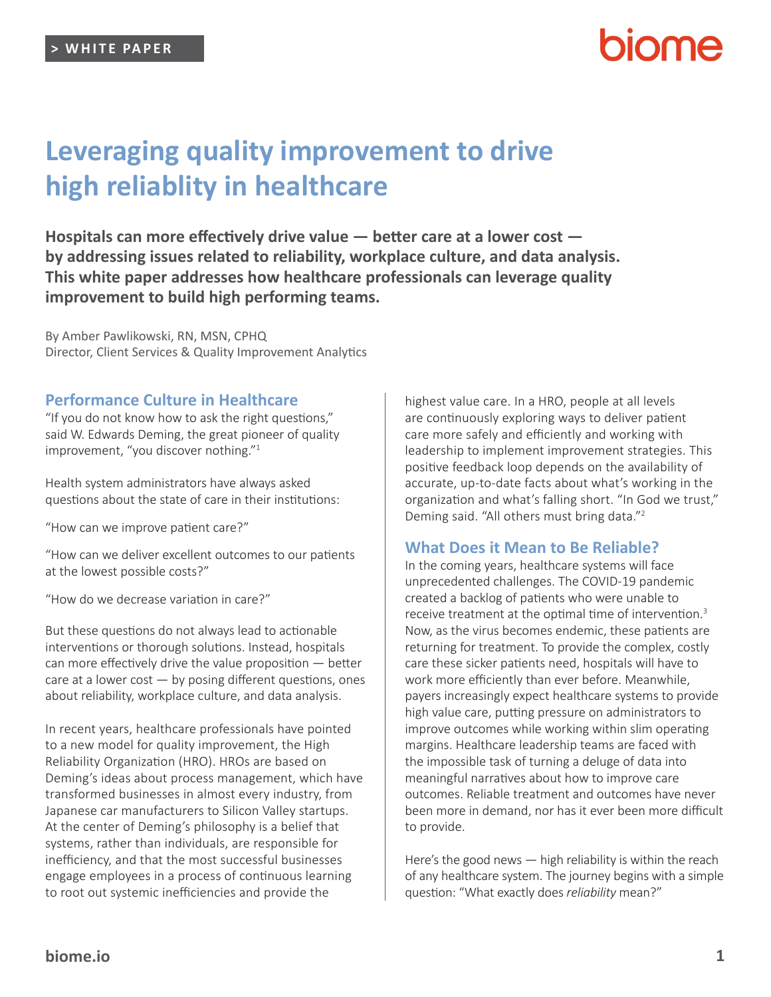# **Leveraging quality improvement to drive high reliablity in healthcare**

**Hospitals can more effectively drive value — better care at a lower cost by addressing issues related to reliability, workplace culture, and data analysis. This white paper addresses how healthcare professionals can leverage quality improvement to build high performing teams.**

By Amber Pawlikowski, RN, MSN, CPHQ Director, Client Services & Quality Improvement Analytics

#### **Performance Culture in Healthcare**

"If you do not know how to ask the right questions," said W. Edwards Deming, the great pioneer of quality improvement, "you discover nothing."<sup>1</sup>

Health system administrators have always asked questions about the state of care in their institutions:

"How can we improve patient care?"

"How can we deliver excellent outcomes to our patients at the lowest possible costs?"

"How do we decrease variation in care?"

But these questions do not always lead to actionable interventions or thorough solutions. Instead, hospitals can more effectively drive the value proposition — better care at a lower cost  $-$  by posing different questions, ones about reliability, workplace culture, and data analysis.

In recent years, healthcare professionals have pointed to a new model for quality improvement, the High Reliability Organization (HRO). HROs are based on Deming's ideas about process management, which have transformed businesses in almost every industry, from Japanese car manufacturers to Silicon Valley startups. At the center of Deming's philosophy is a belief that systems, rather than individuals, are responsible for inefficiency, and that the most successful businesses engage employees in a process of continuous learning to root out systemic inefficiencies and provide the

highest value care. In a HRO, people at all levels are continuously exploring ways to deliver patient care more safely and efficiently and working with leadership to implement improvement strategies. This positive feedback loop depends on the availability of accurate, up-to-date facts about what's working in the organization and what's falling short. "In God we trust," Deming said. "All others must bring data."<sup>2</sup>

### **What Does it Mean to Be Reliable?**

In the coming years, healthcare systems will face unprecedented challenges. The COVID-19 pandemic created a backlog of patients who were unable to receive treatment at the optimal time of intervention.<sup>3</sup> Now, as the virus becomes endemic, these patients are returning for treatment. To provide the complex, costly care these sicker patients need, hospitals will have to work more efficiently than ever before. Meanwhile, payers increasingly expect healthcare systems to provide high value care, putting pressure on administrators to improve outcomes while working within slim operating margins. Healthcare leadership teams are faced with the impossible task of turning a deluge of data into meaningful narratives about how to improve care outcomes. Reliable treatment and outcomes have never been more in demand, nor has it ever been more difficult to provide.

Here's the good news — high reliability is within the reach of any healthcare system. The journey begins with a simple question: "What exactly does *reliability* mean?"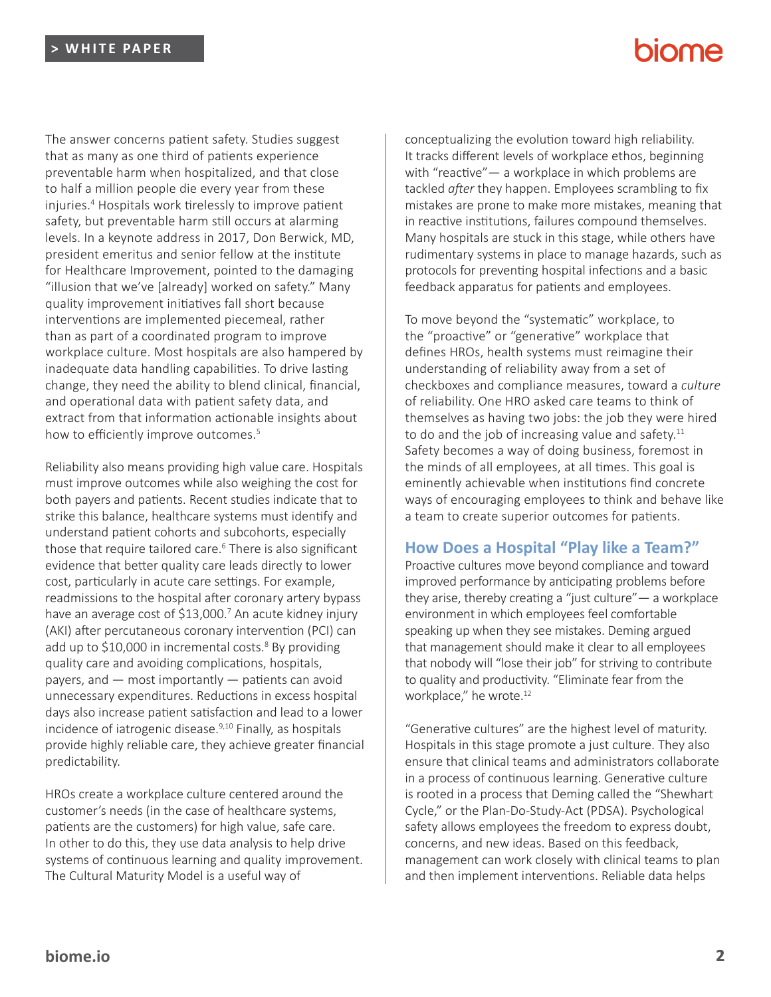# **NOMA**

The answer concerns patient safety. Studies suggest that as many as one third of patients experience preventable harm when hospitalized, and that close to half a million people die every year from these injuries.<sup>4</sup> Hospitals work tirelessly to improve patient safety, but preventable harm still occurs at alarming levels. In a keynote address in 2017, Don Berwick, MD, president emeritus and senior fellow at the institute for Healthcare Improvement, pointed to the damaging "illusion that we've [already] worked on safety." Many quality improvement initiatives fall short because interventions are implemented piecemeal, rather than as part of a coordinated program to improve workplace culture. Most hospitals are also hampered by inadequate data handling capabilities. To drive lasting change, they need the ability to blend clinical, financial, and operational data with patient safety data, and extract from that information actionable insights about how to efficiently improve outcomes.<sup>5</sup>

Reliability also means providing high value care. Hospitals must improve outcomes while also weighing the cost for both payers and patients. Recent studies indicate that to strike this balance, healthcare systems must identify and understand patient cohorts and subcohorts, especially those that require tailored care.<sup>6</sup> There is also significant evidence that better quality care leads directly to lower cost, particularly in acute care settings. For example, readmissions to the hospital after coronary artery bypass have an average cost of \$13,000.<sup>7</sup> An acute kidney injury (AKI) after percutaneous coronary intervention (PCI) can add up to \$10,000 in incremental costs.<sup>8</sup> By providing quality care and avoiding complications, hospitals, payers, and — most importantly — patients can avoid unnecessary expenditures. Reductions in excess hospital days also increase patient satisfaction and lead to a lower incidence of iatrogenic disease.<sup>9,10</sup> Finally, as hospitals provide highly reliable care, they achieve greater financial predictability.

HROs create a workplace culture centered around the customer's needs (in the case of healthcare systems, patients are the customers) for high value, safe care. In other to do this, they use data analysis to help drive systems of continuous learning and quality improvement. The Cultural Maturity Model is a useful way of

conceptualizing the evolution toward high reliability. It tracks different levels of workplace ethos, beginning with "reactive"— a workplace in which problems are tackled *after* they happen. Employees scrambling to fix mistakes are prone to make more mistakes, meaning that in reactive institutions, failures compound themselves. Many hospitals are stuck in this stage, while others have rudimentary systems in place to manage hazards, such as protocols for preventing hospital infections and a basic feedback apparatus for patients and employees.

To move beyond the "systematic" workplace, to the "proactive" or "generative" workplace that defines HROs, health systems must reimagine their understanding of reliability away from a set of checkboxes and compliance measures, toward a *culture* of reliability. One HRO asked care teams to think of themselves as having two jobs: the job they were hired to do and the job of increasing value and safety. $11$ Safety becomes a way of doing business, foremost in the minds of all employees, at all times. This goal is eminently achievable when institutions find concrete ways of encouraging employees to think and behave like a team to create superior outcomes for patients.

### **How Does a Hospital "Play like a Team?"**

Proactive cultures move beyond compliance and toward improved performance by anticipating problems before they arise, thereby creating a "just culture"— a workplace environment in which employees feel comfortable speaking up when they see mistakes. Deming argued that management should make it clear to all employees that nobody will "lose their job" for striving to contribute to quality and productivity. "Eliminate fear from the workplace," he wrote.<sup>12</sup>

"Generative cultures" are the highest level of maturity. Hospitals in this stage promote a just culture. They also ensure that clinical teams and administrators collaborate in a process of continuous learning. Generative culture is rooted in a process that Deming called the "Shewhart Cycle," or the Plan-Do-Study-Act (PDSA). Psychological safety allows employees the freedom to express doubt, concerns, and new ideas. Based on this feedback, management can work closely with clinical teams to plan and then implement interventions. Reliable data helps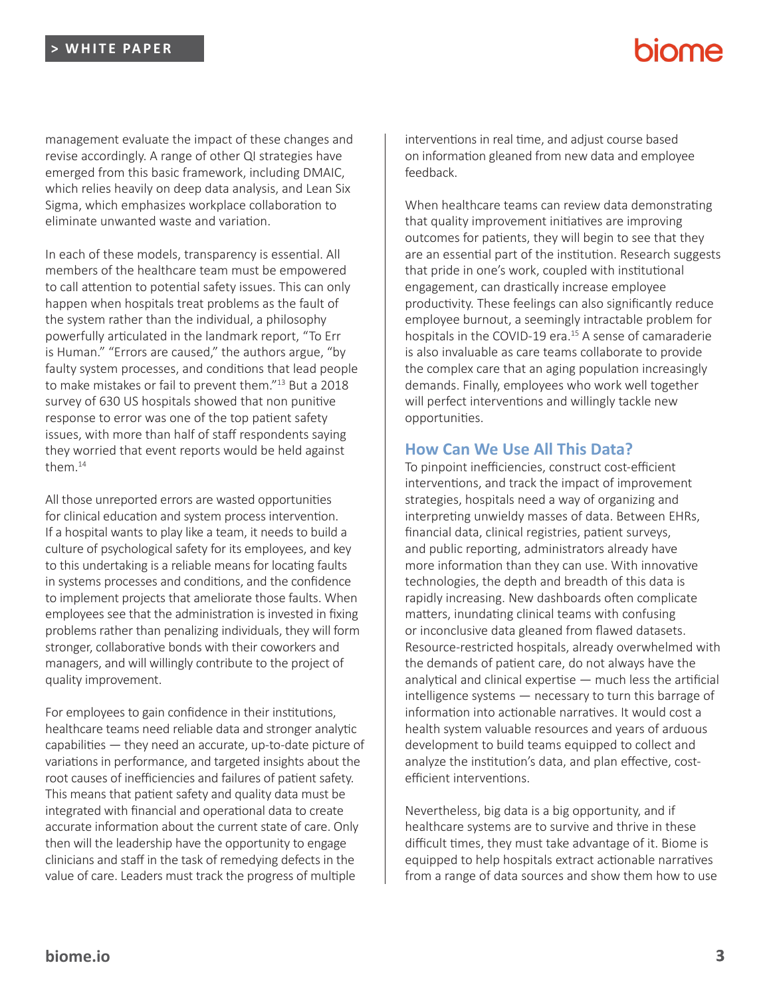management evaluate the impact of these changes and revise accordingly. A range of other QI strategies have emerged from this basic framework, including DMAIC, which relies heavily on deep data analysis, and Lean Six Sigma, which emphasizes workplace collaboration to eliminate unwanted waste and variation.

In each of these models, transparency is essential. All members of the healthcare team must be empowered to call attention to potential safety issues. This can only happen when hospitals treat problems as the fault of the system rather than the individual, a philosophy powerfully articulated in the landmark report, "To Err is Human." "Errors are caused," the authors argue, "by faulty system processes, and conditions that lead people to make mistakes or fail to prevent them."<sup>13</sup> But a 2018 survey of 630 US hospitals showed that non punitive response to error was one of the top patient safety issues, with more than half of staff respondents saying they worried that event reports would be held against them $14$ 

All those unreported errors are wasted opportunities for clinical education and system process intervention. If a hospital wants to play like a team, it needs to build a culture of psychological safety for its employees, and key to this undertaking is a reliable means for locating faults in systems processes and conditions, and the confidence to implement projects that ameliorate those faults. When employees see that the administration is invested in fixing problems rather than penalizing individuals, they will form stronger, collaborative bonds with their coworkers and managers, and will willingly contribute to the project of quality improvement.

For employees to gain confidence in their institutions, healthcare teams need reliable data and stronger analytic capabilities — they need an accurate, up-to-date picture of variations in performance, and targeted insights about the root causes of inefficiencies and failures of patient safety. This means that patient safety and quality data must be integrated with financial and operational data to create accurate information about the current state of care. Only then will the leadership have the opportunity to engage clinicians and staff in the task of remedying defects in the value of care. Leaders must track the progress of multiple

interventions in real time, and adjust course based on information gleaned from new data and employee feedback.

When healthcare teams can review data demonstrating that quality improvement initiatives are improving outcomes for patients, they will begin to see that they are an essential part of the institution. Research suggests that pride in one's work, coupled with institutional engagement, can drastically increase employee productivity. These feelings can also significantly reduce employee burnout, a seemingly intractable problem for hospitals in the COVID-19 era.<sup>15</sup> A sense of camaraderie is also invaluable as care teams collaborate to provide the complex care that an aging population increasingly demands. Finally, employees who work well together will perfect interventions and willingly tackle new opportunities.

#### **How Can We Use All This Data?**

To pinpoint inefficiencies, construct cost-efficient interventions, and track the impact of improvement strategies, hospitals need a way of organizing and interpreting unwieldy masses of data. Between EHRs, financial data, clinical registries, patient surveys, and public reporting, administrators already have more information than they can use. With innovative technologies, the depth and breadth of this data is rapidly increasing. New dashboards often complicate matters, inundating clinical teams with confusing or inconclusive data gleaned from flawed datasets. Resource-restricted hospitals, already overwhelmed with the demands of patient care, do not always have the analytical and clinical expertise — much less the artificial intelligence systems — necessary to turn this barrage of information into actionable narratives. It would cost a health system valuable resources and years of arduous development to build teams equipped to collect and analyze the institution's data, and plan effective, costefficient interventions.

Nevertheless, big data is a big opportunity, and if healthcare systems are to survive and thrive in these difficult times, they must take advantage of it. Biome is equipped to help hospitals extract actionable narratives from a range of data sources and show them how to use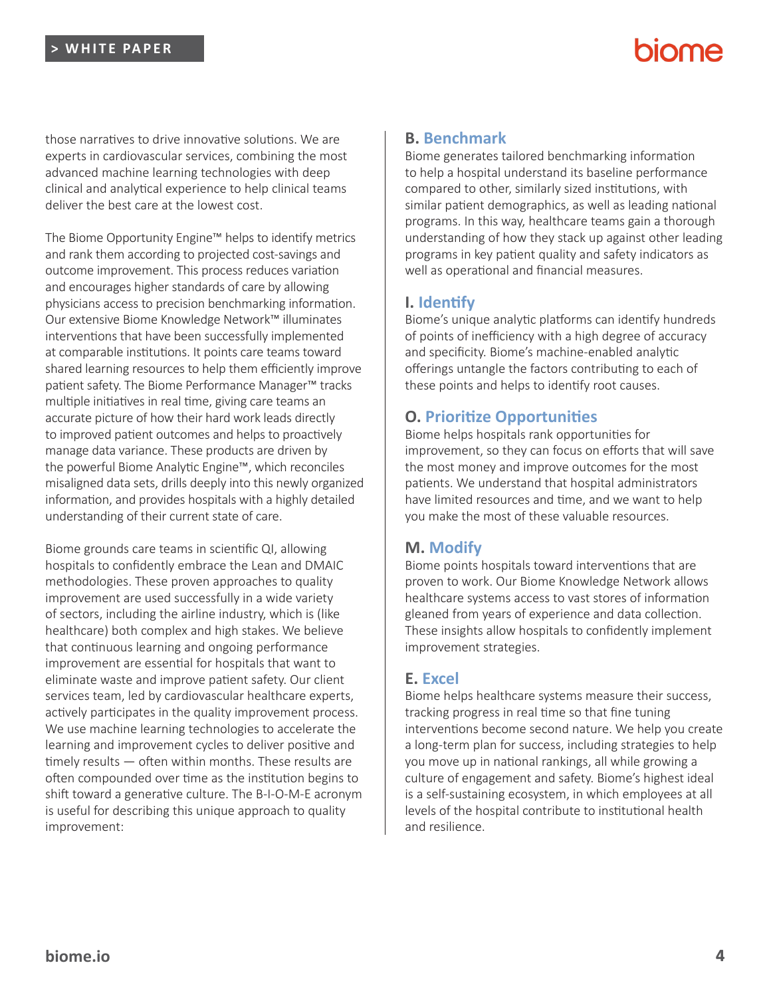# **NOMA**

those narratives to drive innovative solutions. We are experts in cardiovascular services, combining the most advanced machine learning technologies with deep clinical and analytical experience to help clinical teams deliver the best care at the lowest cost.

The Biome Opportunity Engine™ helps to identify metrics and rank them according to projected cost-savings and outcome improvement. This process reduces variation and encourages higher standards of care by allowing physicians access to precision benchmarking information. Our extensive Biome Knowledge Network™ illuminates interventions that have been successfully implemented at comparable institutions. It points care teams toward shared learning resources to help them efficiently improve patient safety. The Biome Performance Manager™ tracks multiple initiatives in real time, giving care teams an accurate picture of how their hard work leads directly to improved patient outcomes and helps to proactively manage data variance. These products are driven by the powerful Biome Analytic Engine™, which reconciles misaligned data sets, drills deeply into this newly organized information, and provides hospitals with a highly detailed understanding of their current state of care.

Biome grounds care teams in scientific QI, allowing hospitals to confidently embrace the Lean and DMAIC methodologies. These proven approaches to quality improvement are used successfully in a wide variety of sectors, including the airline industry, which is (like healthcare) both complex and high stakes. We believe that continuous learning and ongoing performance improvement are essential for hospitals that want to eliminate waste and improve patient safety. Our client services team, led by cardiovascular healthcare experts, actively participates in the quality improvement process. We use machine learning technologies to accelerate the learning and improvement cycles to deliver positive and timely results — often within months. These results are often compounded over time as the institution begins to shift toward a generative culture. The B-I-O-M-E acronym is useful for describing this unique approach to quality improvement:

## **B. Benchmark**

Biome generates tailored benchmarking information to help a hospital understand its baseline performance compared to other, similarly sized institutions, with similar patient demographics, as well as leading national programs. In this way, healthcare teams gain a thorough understanding of how they stack up against other leading programs in key patient quality and safety indicators as well as operational and financial measures.

## **I. Identify**

Biome's unique analytic platforms can identify hundreds of points of inefficiency with a high degree of accuracy and specificity. Biome's machine-enabled analytic offerings untangle the factors contributing to each of these points and helps to identify root causes.

## **O. Prioritize Opportunities**

Biome helps hospitals rank opportunities for improvement, so they can focus on efforts that will save the most money and improve outcomes for the most patients. We understand that hospital administrators have limited resources and time, and we want to help you make the most of these valuable resources.

## **M. Modify**

Biome points hospitals toward interventions that are proven to work. Our Biome Knowledge Network allows healthcare systems access to vast stores of information gleaned from years of experience and data collection. These insights allow hospitals to confidently implement improvement strategies.

## **E. Excel**

Biome helps healthcare systems measure their success, tracking progress in real time so that fine tuning interventions become second nature. We help you create a long-term plan for success, including strategies to help you move up in national rankings, all while growing a culture of engagement and safety. Biome's highest ideal is a self-sustaining ecosystem, in which employees at all levels of the hospital contribute to institutional health and resilience.